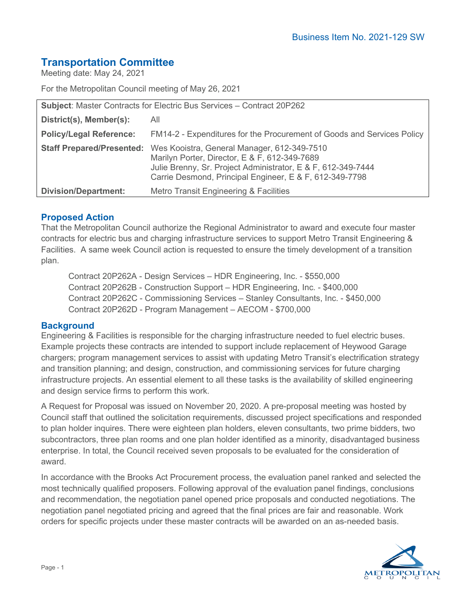# **Transportation Committee**

Meeting date: May 24, 2021

For the Metropolitan Council meeting of May 26, 2021

| Subject: Master Contracts for Electric Bus Services - Contract 20P262 |                                                                                                                                                                                                                                                   |
|-----------------------------------------------------------------------|---------------------------------------------------------------------------------------------------------------------------------------------------------------------------------------------------------------------------------------------------|
| District(s), Member(s):                                               | All                                                                                                                                                                                                                                               |
| <b>Policy/Legal Reference:</b>                                        | FM14-2 - Expenditures for the Procurement of Goods and Services Policy                                                                                                                                                                            |
|                                                                       | Staff Prepared/Presented: Wes Kooistra, General Manager, 612-349-7510<br>Marilyn Porter, Director, E & F, 612-349-7689<br>Julie Brenny, Sr. Project Administrator, E & F, 612-349-7444<br>Carrie Desmond, Principal Engineer, E & F, 612-349-7798 |
| <b>Division/Department:</b>                                           | Metro Transit Engineering & Facilities                                                                                                                                                                                                            |

# **Proposed Action**

That the Metropolitan Council authorize the Regional Administrator to award and execute four master contracts for electric bus and charging infrastructure services to support Metro Transit Engineering & Facilities. A same week Council action is requested to ensure the timely development of a transition plan.

Contract 20P262A - Design Services – HDR Engineering, Inc. - \$550,000 Contract 20P262B - Construction Support – HDR Engineering, Inc. - \$400,000 Contract 20P262C - Commissioning Services – Stanley Consultants, Inc. - \$450,000 Contract 20P262D - Program Management – AECOM - \$700,000

### **Background**

Engineering & Facilities is responsible for the charging infrastructure needed to fuel electric buses. Example projects these contracts are intended to support include replacement of Heywood Garage chargers; program management services to assist with updating Metro Transit's electrification strategy and transition planning; and design, construction, and commissioning services for future charging infrastructure projects. An essential element to all these tasks is the availability of skilled engineering and design service firms to perform this work.

A Request for Proposal was issued on November 20, 2020. A pre-proposal meeting was hosted by Council staff that outlined the solicitation requirements, discussed project specifications and responded to plan holder inquires. There were eighteen plan holders, eleven consultants, two prime bidders, two subcontractors, three plan rooms and one plan holder identified as a minority, disadvantaged business enterprise. In total, the Council received seven proposals to be evaluated for the consideration of award.

In accordance with the Brooks Act Procurement process, the evaluation panel ranked and selected the most technically qualified proposers. Following approval of the evaluation panel findings, conclusions and recommendation, the negotiation panel opened price proposals and conducted negotiations. The negotiation panel negotiated pricing and agreed that the final prices are fair and reasonable. Work orders for specific projects under these master contracts will be awarded on an as-needed basis.